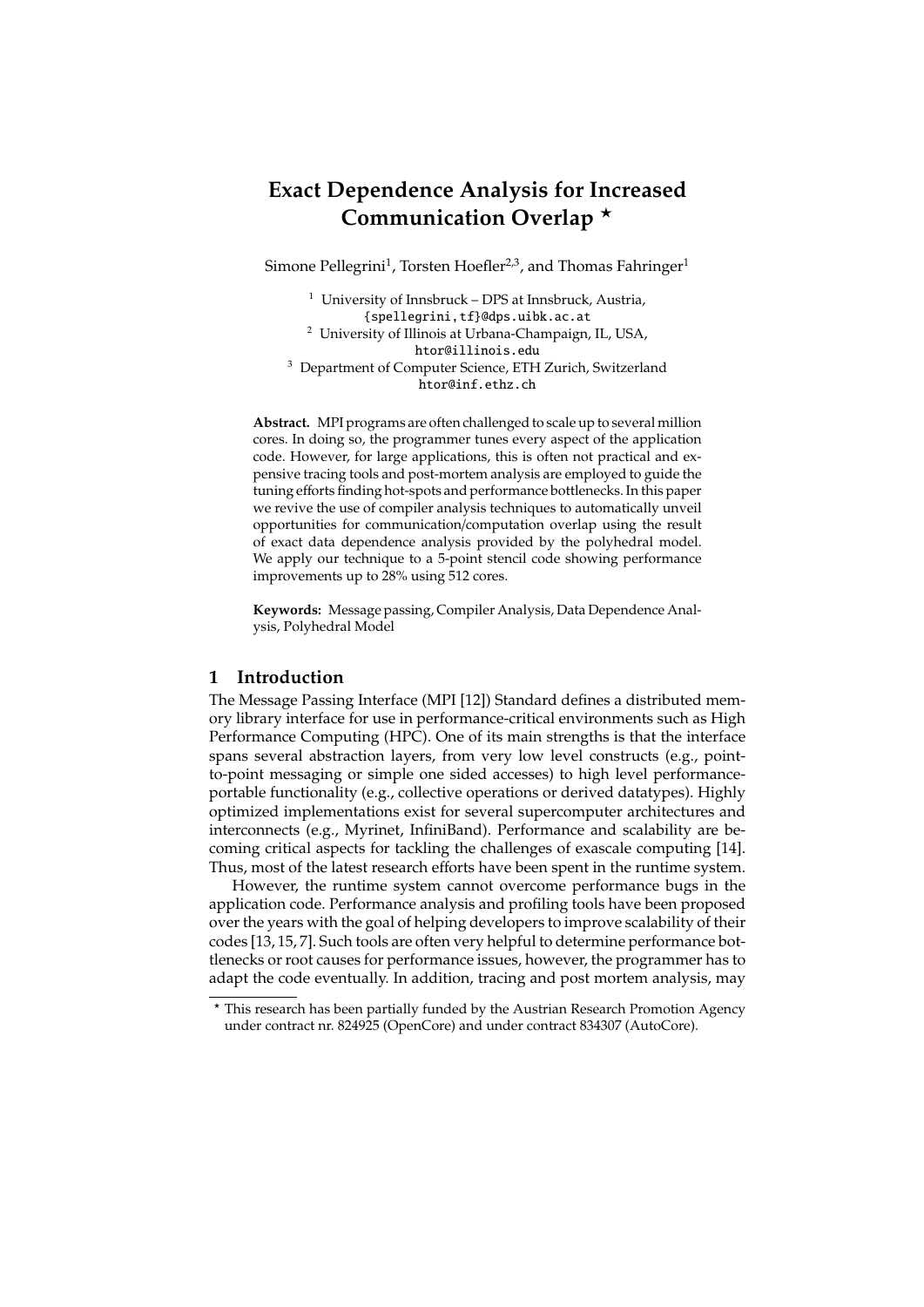# **Exact Dependence Analysis for Increased Communication Overlap** ?

Simone Pellegrini $^1$ , Torsten Hoefler $^{2,3}$ , and Thomas Fahringer $^1$ 

<sup>1</sup> University of Innsbruck – DPS at Innsbruck, Austria, {spellegrini,tf}@dps.uibk.ac.at <sup>2</sup> University of Illinois at Urbana-Champaign, IL, USA, htor@illinois.edu <sup>3</sup> Department of Computer Science, ETH Zurich, Switzerland htor@inf.ethz.ch

**Abstract.** MPI programs are often challenged to scale up to several million cores. In doing so, the programmer tunes every aspect of the application code. However, for large applications, this is often not practical and expensive tracing tools and post-mortem analysis are employed to guide the tuning efforts finding hot-spots and performance bottlenecks. In this paper we revive the use of compiler analysis techniques to automatically unveil opportunities for communication/computation overlap using the result of exact data dependence analysis provided by the polyhedral model. We apply our technique to a 5-point stencil code showing performance improvements up to 28% using 512 cores.

**Keywords:** Message passing, Compiler Analysis, Data Dependence Analysis, Polyhedral Model

### **1 Introduction**

The Message Passing Interface (MPI [12]) Standard defines a distributed memory library interface for use in performance-critical environments such as High Performance Computing (HPC). One of its main strengths is that the interface spans several abstraction layers, from very low level constructs (e.g., pointto-point messaging or simple one sided accesses) to high level performanceportable functionality (e.g., collective operations or derived datatypes). Highly optimized implementations exist for several supercomputer architectures and interconnects (e.g., Myrinet, InfiniBand). Performance and scalability are becoming critical aspects for tackling the challenges of exascale computing [14]. Thus, most of the latest research efforts have been spent in the runtime system.

However, the runtime system cannot overcome performance bugs in the application code. Performance analysis and profiling tools have been proposed over the years with the goal of helping developers to improve scalability of their codes [13, 15, 7]. Such tools are often very helpful to determine performance bottlenecks or root causes for performance issues, however, the programmer has to adapt the code eventually. In addition, tracing and post mortem analysis, may

<sup>?</sup> This research has been partially funded by the Austrian Research Promotion Agency under contract nr. 824925 (OpenCore) and under contract 834307 (AutoCore).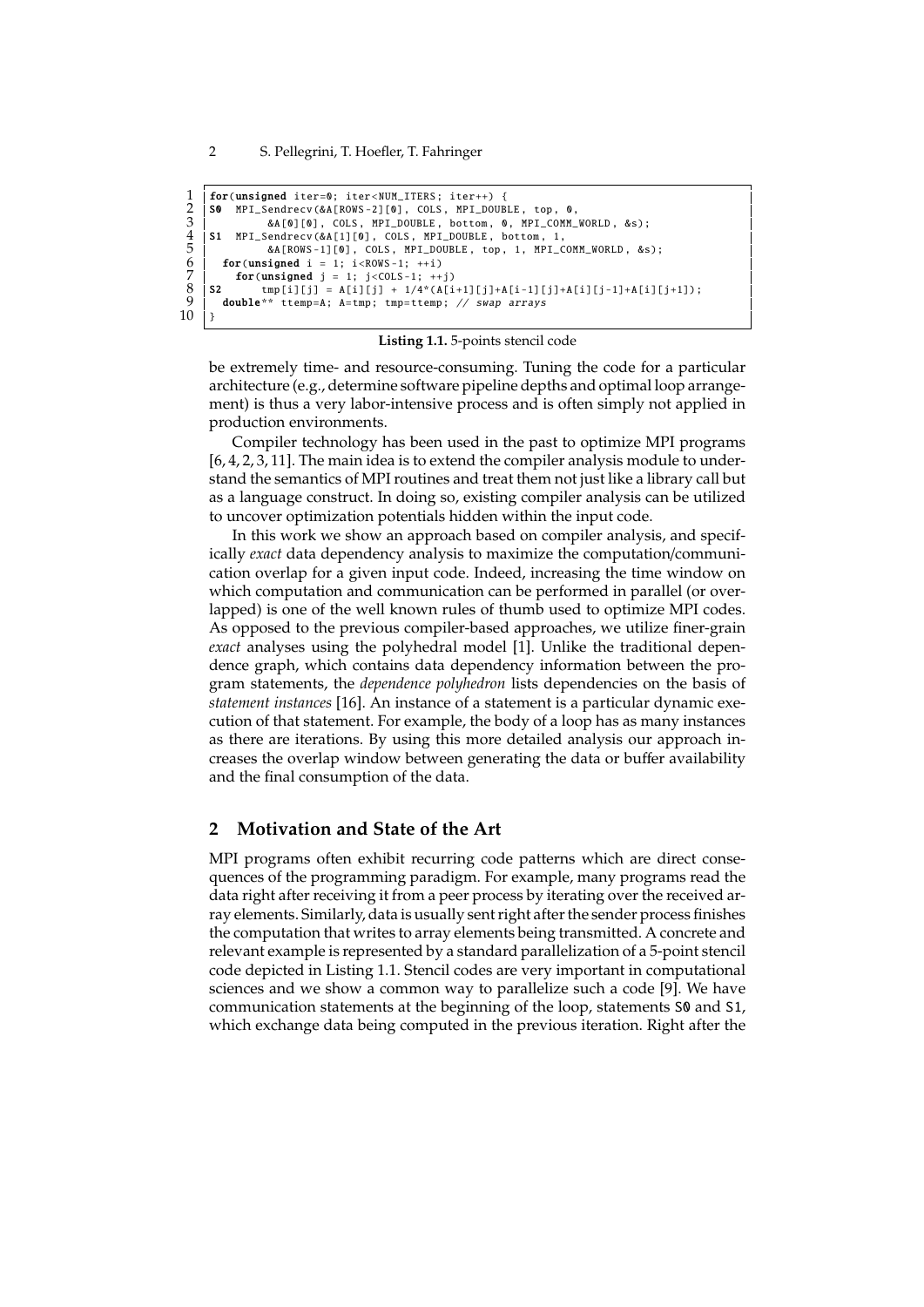2 S. Pellegrini, T. Hoefler, T. Fahringer

```
1 for(unsigned iter=0; iter<NUM_ITERS; iter++) {<br>
2 S0 MPI_Sendrecv(&A[ROWS-2][0], COLS, MPI_DOUB<br>
3 &A[0][0], COLS, MPI_DOUBLE, bottom, 0<br>
4 S1 MPI Sendrecv(&A[1][0]. COLS. MPI DOUBLE. b
               MPI_Sendrecv (&A[ROWS-2][0], COLS, MPI_DOUBLE, top, 0,
                         3 &A[0][0] , COLS , MPI_DOUBLE , bottom , 0, MPI_COMM_WORLD , &s);
 4 S1 MPI_Sendrecv(&A[1][0], COLS, MPI_DOUBLE, bottom, 1,<br>
\delta &A[ROWS-1][0], COLS, MPI_DOUBLE, top, 1, MPI_C<br>
for (unsigned i = 1; i<ROWS-1; ++i)<br>
\sigma for (unsigned i = 1: i<COLS-1: ++i)
                         5 &A[ROWS -1][0] , COLS , MPI_DOUBLE , top , 1, MPI_COMM_WORLD , &s);
            for(unsigned i = 1; i <ROWS-1; ++i)
 7 for(unsigned j = 1; j < CDLS - 1; i + j)<br>8 S2 tmp[i][j] = A[i][j] + 1/4*(A[i<br>9 double** ttemp=A: A=tmp: tmp=ttemp:
                       \texttt{tmp}[i][j] = A[i][j] + 1/4*(A[i+1][j]+A[i-1][j]+A[i][j-1]+A[i][j+1]);
            double** ttemp=A; A=tmp; tmp=ttemp; // swap arrays
10 \mid }
```
**Listing 1.1.** 5-points stencil code

be extremely time- and resource-consuming. Tuning the code for a particular architecture (e.g., determine software pipeline depths and optimal loop arrangement) is thus a very labor-intensive process and is often simply not applied in production environments.

Compiler technology has been used in the past to optimize MPI programs [6, 4, 2, 3, 11]. The main idea is to extend the compiler analysis module to understand the semantics of MPI routines and treat them not just like a library call but as a language construct. In doing so, existing compiler analysis can be utilized to uncover optimization potentials hidden within the input code.

In this work we show an approach based on compiler analysis, and specifically *exact* data dependency analysis to maximize the computation/communication overlap for a given input code. Indeed, increasing the time window on which computation and communication can be performed in parallel (or overlapped) is one of the well known rules of thumb used to optimize MPI codes. As opposed to the previous compiler-based approaches, we utilize finer-grain *exact* analyses using the polyhedral model [1]. Unlike the traditional dependence graph, which contains data dependency information between the program statements, the *dependence polyhedron* lists dependencies on the basis of *statement instances* [16]. An instance of a statement is a particular dynamic execution of that statement. For example, the body of a loop has as many instances as there are iterations. By using this more detailed analysis our approach increases the overlap window between generating the data or buffer availability and the final consumption of the data.

### **2 Motivation and State of the Art**

MPI programs often exhibit recurring code patterns which are direct consequences of the programming paradigm. For example, many programs read the data right after receiving it from a peer process by iterating over the received array elements. Similarly, data is usually sent right after the sender process finishes the computation that writes to array elements being transmitted. A concrete and relevant example is represented by a standard parallelization of a 5-point stencil code depicted in Listing 1.1. Stencil codes are very important in computational sciences and we show a common way to parallelize such a code [9]. We have communication statements at the beginning of the loop, statements S0 and S1, which exchange data being computed in the previous iteration. Right after the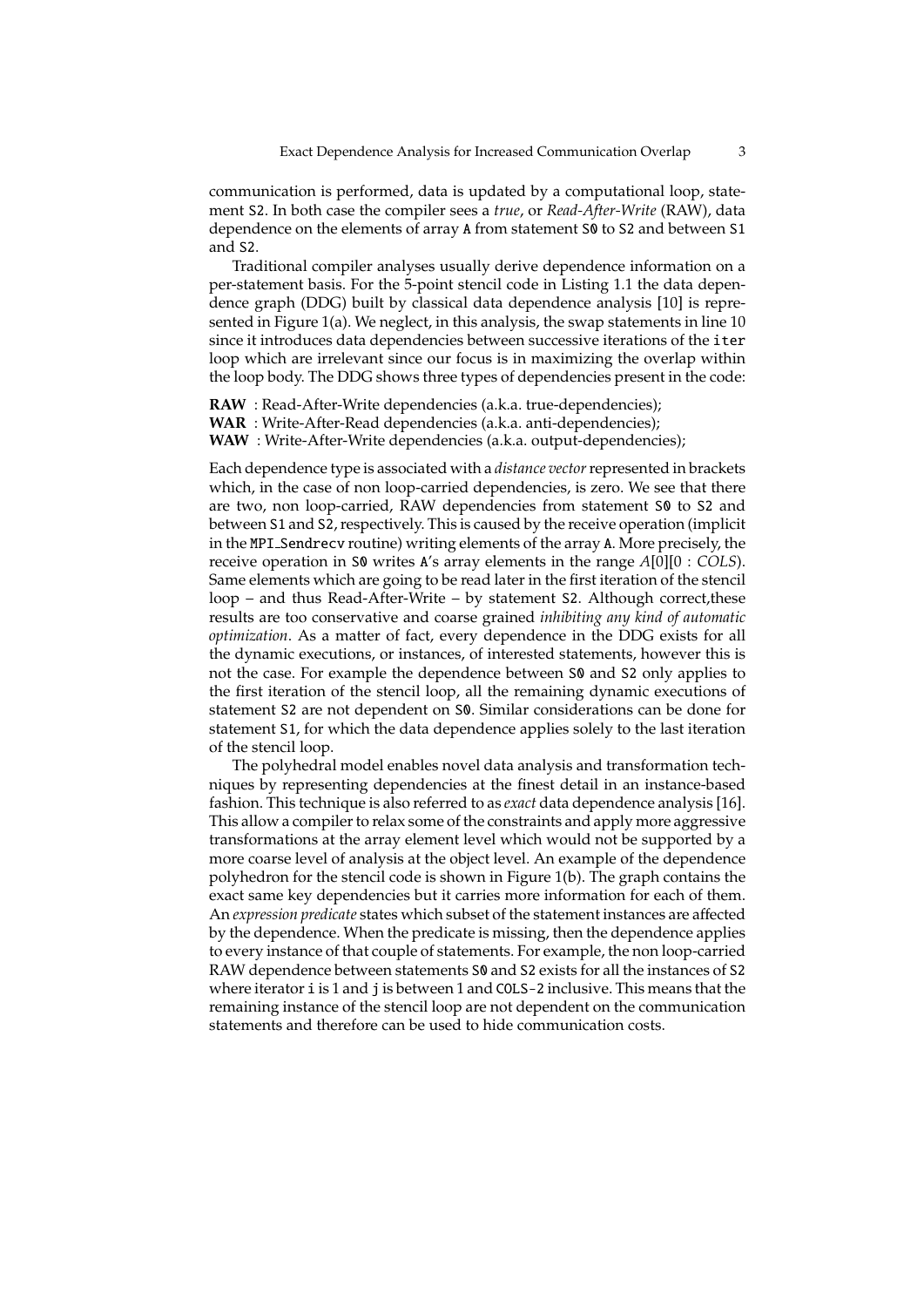communication is performed, data is updated by a computational loop, statement S2. In both case the compiler sees a *true*, or *Read-After-Write* (RAW), data dependence on the elements of array A from statement S0 to S2 and between S1 and S2.

Traditional compiler analyses usually derive dependence information on a per-statement basis. For the 5-point stencil code in Listing 1.1 the data dependence graph (DDG) built by classical data dependence analysis [10] is represented in Figure 1(a). We neglect, in this analysis, the swap statements in line 10 since it introduces data dependencies between successive iterations of the iter loop which are irrelevant since our focus is in maximizing the overlap within the loop body. The DDG shows three types of dependencies present in the code:

**RAW** : Read-After-Write dependencies (a.k.a. true-dependencies); **WAR** : Write-After-Read dependencies (a.k.a. anti-dependencies); **WAW** : Write-After-Write dependencies (a.k.a. output-dependencies);

Each dependence type is associated with a *distance vector*represented in brackets which, in the case of non loop-carried dependencies, is zero. We see that there are two, non loop-carried, RAW dependencies from statement S0 to S2 and between S1 and S2, respectively. This is caused by the receive operation (implicit in the MPI Sendrecv routine) writing elements of the array A. More precisely, the receive operation in S0 writes A's array elements in the range *A*[0][0 : *COLS*). Same elements which are going to be read later in the first iteration of the stencil loop – and thus Read-After-Write – by statement S2. Although correct, these results are too conservative and coarse grained *inhibiting any kind of automatic optimization*. As a matter of fact, every dependence in the DDG exists for all the dynamic executions, or instances, of interested statements, however this is not the case. For example the dependence between S0 and S2 only applies to the first iteration of the stencil loop, all the remaining dynamic executions of statement S2 are not dependent on S0. Similar considerations can be done for statement S1, for which the data dependence applies solely to the last iteration of the stencil loop.

The polyhedral model enables novel data analysis and transformation techniques by representing dependencies at the finest detail in an instance-based fashion. This technique is also referred to as *exact* data dependence analysis [16]. This allow a compiler to relax some of the constraints and apply more aggressive transformations at the array element level which would not be supported by a more coarse level of analysis at the object level. An example of the dependence polyhedron for the stencil code is shown in Figure 1(b). The graph contains the exact same key dependencies but it carries more information for each of them. An *expression predicate* states which subset of the statement instances are affected by the dependence. When the predicate is missing, then the dependence applies to every instance of that couple of statements. For example, the non loop-carried RAW dependence between statements S0 and S2 exists for all the instances of S2 where iterator i is 1 and j is between 1 and COLS-2 inclusive. This means that the remaining instance of the stencil loop are not dependent on the communication statements and therefore can be used to hide communication costs.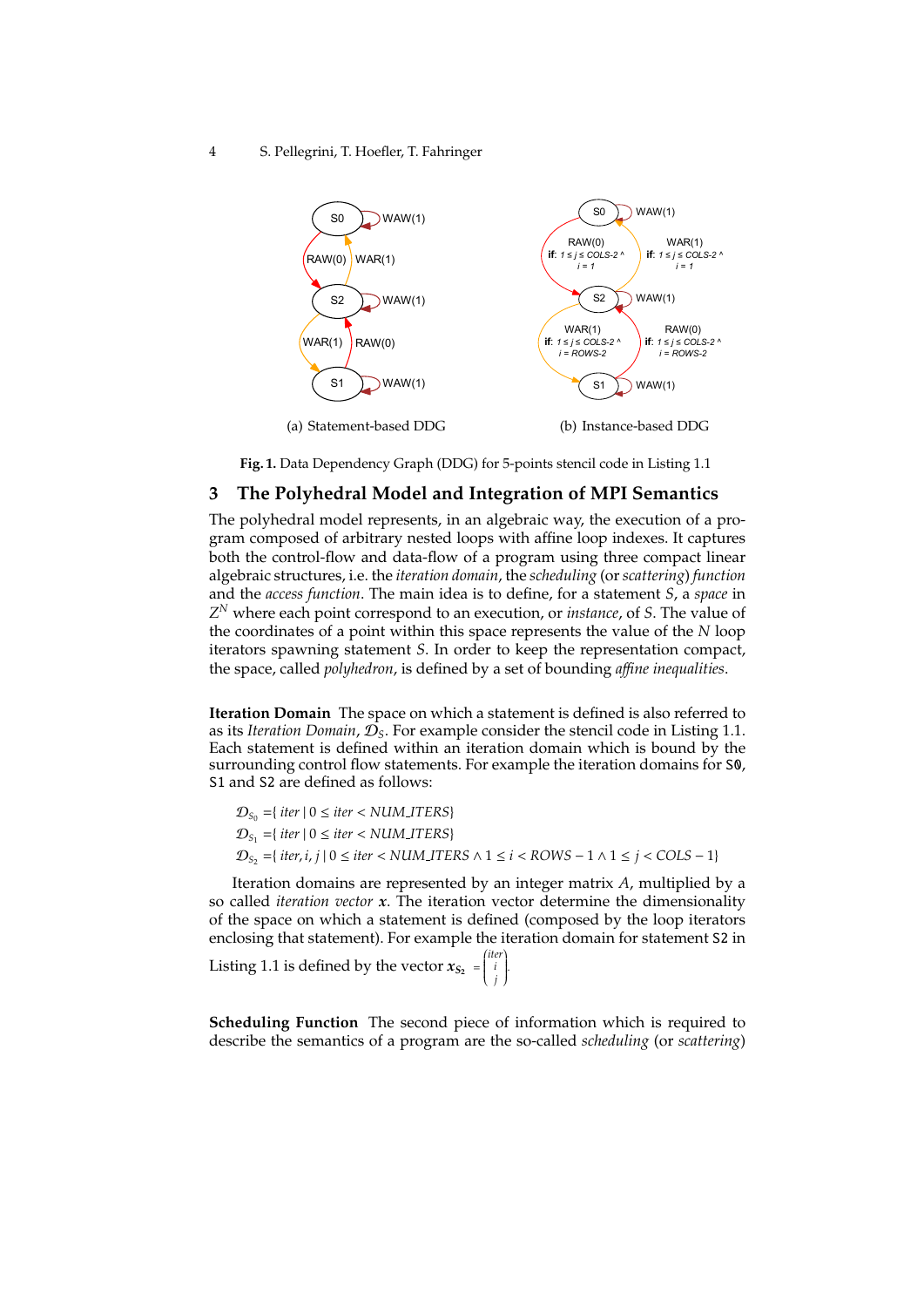4 S. Pellegrini, T. Hoefler, T. Fahringer



**Fig. 1.** Data Dependency Graph (DDG) for 5-points stencil code in Listing 1.1

### **3 The Polyhedral Model and Integration of MPI Semantics**

The polyhedral model represents, in an algebraic way, the execution of a program composed of arbitrary nested loops with affine loop indexes. It captures both the control-flow and data-flow of a program using three compact linear algebraic structures, i.e. the *iteration domain*, the *scheduling* (or*scattering*) *function* and the *access function*. The main idea is to define, for a statement *S*, a *space* in *Z <sup>N</sup>* where each point correspond to an execution, or *instance*, of *S*. The value of the coordinates of a point within this space represents the value of the *N* loop iterators spawning statement *S*. In order to keep the representation compact, the space, called *polyhedron*, is defined by a set of bounding *a*ffi*ne inequalities*.

**Iteration Domain** The space on which a statement is defined is also referred to as its *Iteration Domain*, D*S*. For example consider the stencil code in Listing 1.1. Each statement is defined within an iteration domain which is bound by the surrounding control flow statements. For example the iteration domains for S0, S1 and S2 are defined as follows:

$$
\begin{aligned} \mathcal{D}_{S_0} &= \{ \text{ iter } \mid 0 \le \text{ iter } < \text{NUM\_ITERS} \} \\ \mathcal{D}_{S_1} &= \{ \text{ iter } \mid 0 \le \text{ iter } < \text{NUM\_ITERS} \} \\ \mathcal{D}_{S_2} &= \{ \text{ iter}, i, j \mid 0 \le \text{ iter } < \text{NUM\_ITERS} \land 1 \le i < \text{ROWS} - 1 \land 1 \le j < \text{COLS} - 1 \} \end{aligned}
$$

Iteration domains are represented by an integer matrix *A*, multiplied by a so called *iteration vector x*. The iteration vector determine the dimensionality of the space on which a statement is defined (composed by the loop iterators enclosing that statement). For example the iteration domain for statement S2 in ۱.  $\begin{array}{c} \hline \end{array}$ 

.

Listing 1.1 is defined by the vector  $x_{S_2}$  = *iter i j*  $\overline{\mathcal{C}}$ 

**Scheduling Function** The second piece of information which is required to describe the semantics of a program are the so-called *scheduling* (or *scattering*)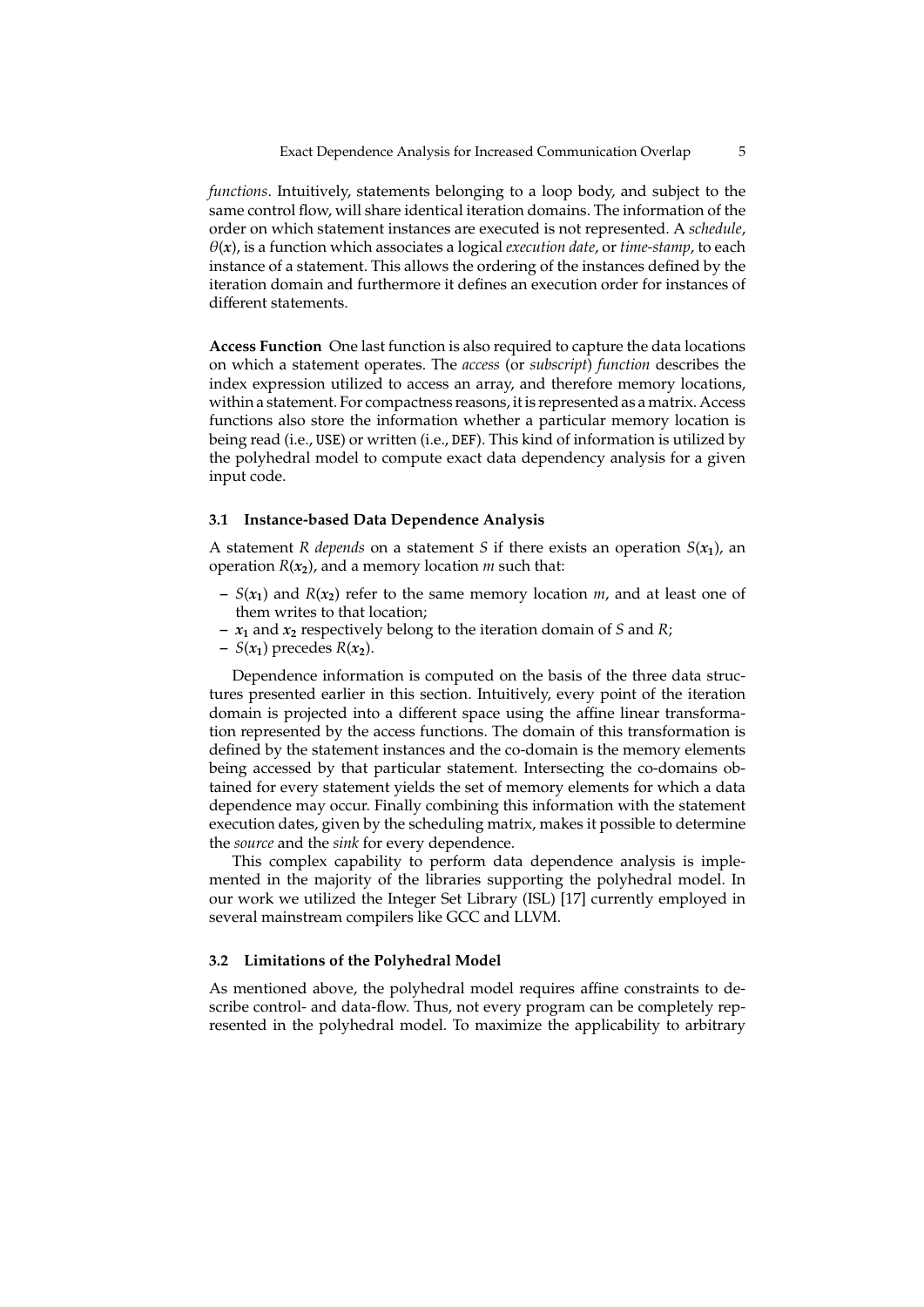*functions*. Intuitively, statements belonging to a loop body, and subject to the same control flow, will share identical iteration domains. The information of the order on which statement instances are executed is not represented. A *schedule*,  $\theta(x)$ , is a function which associates a logical *execution date*, or *time-stamp*, to each instance of a statement. This allows the ordering of the instances defined by the iteration domain and furthermore it defines an execution order for instances of different statements.

**Access Function** One last function is also required to capture the data locations on which a statement operates. The *access* (or *subscript*) *function* describes the index expression utilized to access an array, and therefore memory locations, within a statement. For compactness reasons, it is represented as a matrix. Access functions also store the information whether a particular memory location is being read (i.e., USE) or written (i.e., DEF). This kind of information is utilized by the polyhedral model to compute exact data dependency analysis for a given input code.

#### **3.1 Instance-based Data Dependence Analysis**

A statement *R* depends on a statement *S* if there exists an operation  $S(x_1)$ , an operation  $R(x_2)$ , and a memory location  $m$  such that:

- **–**  $S(x_1)$  and  $R(x_2)$  refer to the same memory location *m*, and at least one of them writes to that location;
- **–** *x***<sup>1</sup>** and *x***<sup>2</sup>** respectively belong to the iteration domain of *S* and *R*;
- $S(x_1)$  precedes  $R(x_2)$ .

Dependence information is computed on the basis of the three data structures presented earlier in this section. Intuitively, every point of the iteration domain is projected into a different space using the affine linear transformation represented by the access functions. The domain of this transformation is defined by the statement instances and the co-domain is the memory elements being accessed by that particular statement. Intersecting the co-domains obtained for every statement yields the set of memory elements for which a data dependence may occur. Finally combining this information with the statement execution dates, given by the scheduling matrix, makes it possible to determine the *source* and the *sink* for every dependence.

This complex capability to perform data dependence analysis is implemented in the majority of the libraries supporting the polyhedral model. In our work we utilized the Integer Set Library (ISL) [17] currently employed in several mainstream compilers like GCC and LLVM.

#### **3.2 Limitations of the Polyhedral Model**

As mentioned above, the polyhedral model requires affine constraints to describe control- and data-flow. Thus, not every program can be completely represented in the polyhedral model. To maximize the applicability to arbitrary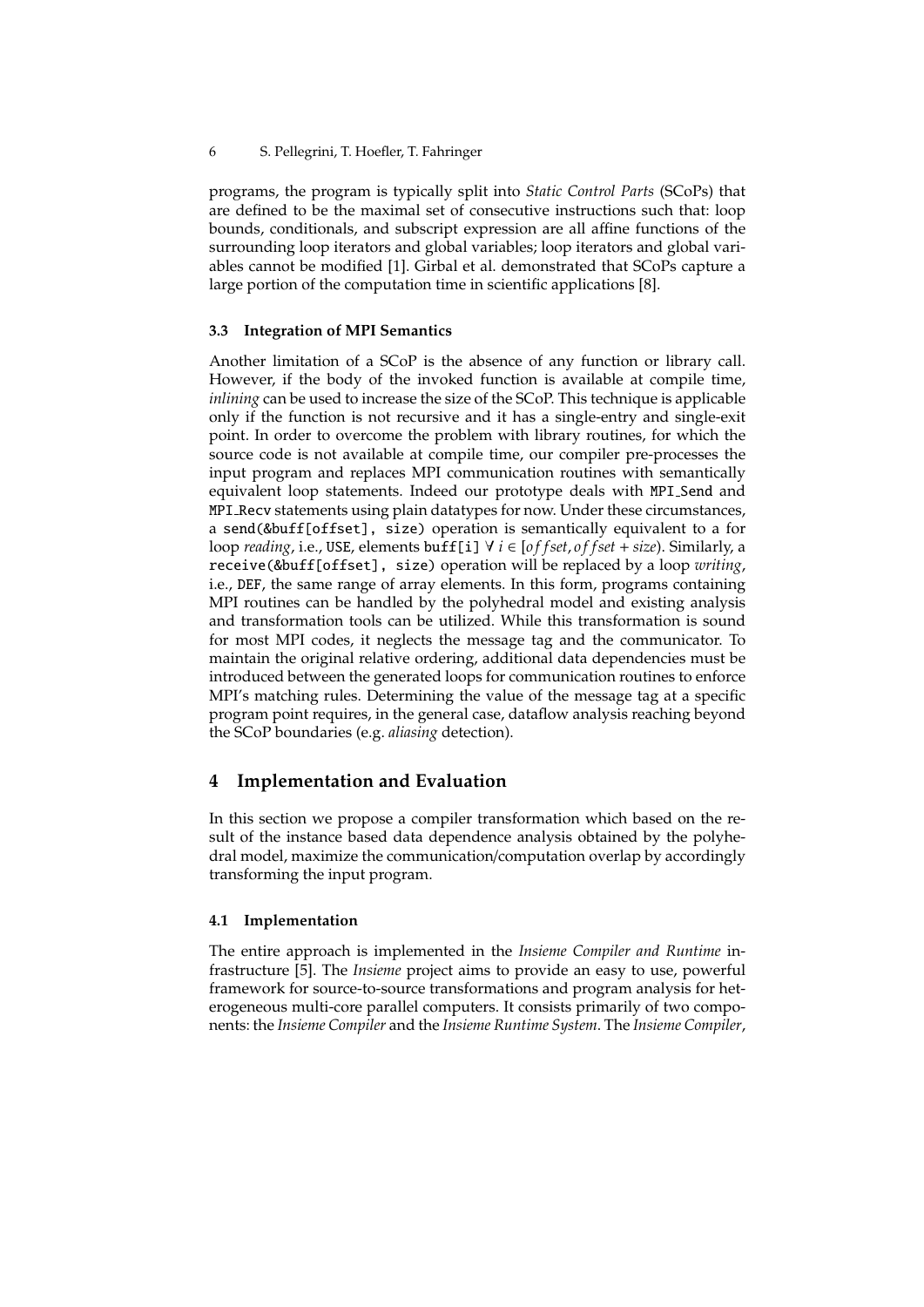6 S. Pellegrini, T. Hoefler, T. Fahringer

programs, the program is typically split into *Static Control Parts* (SCoPs) that are defined to be the maximal set of consecutive instructions such that: loop bounds, conditionals, and subscript expression are all affine functions of the surrounding loop iterators and global variables; loop iterators and global variables cannot be modified [1]. Girbal et al. demonstrated that SCoPs capture a large portion of the computation time in scientific applications [8].

## **3.3 Integration of MPI Semantics**

Another limitation of a SCoP is the absence of any function or library call. However, if the body of the invoked function is available at compile time, *inlining* can be used to increase the size of the SCoP. This technique is applicable only if the function is not recursive and it has a single-entry and single-exit point. In order to overcome the problem with library routines, for which the source code is not available at compile time, our compiler pre-processes the input program and replaces MPI communication routines with semantically equivalent loop statements. Indeed our prototype deals with MPI Send and MPI Recv statements using plain datatypes for now. Under these circumstances, a send(&buff[offset], size) operation is semantically equivalent to a for loop *reading*, i.e., USE, elements buff[i] ∀ *i* ∈ [*o f f set*, *o f f set* + *size*). Similarly, a receive(&buff[offset], size) operation will be replaced by a loop *writing*, i.e., DEF, the same range of array elements. In this form, programs containing MPI routines can be handled by the polyhedral model and existing analysis and transformation tools can be utilized. While this transformation is sound for most MPI codes, it neglects the message tag and the communicator. To maintain the original relative ordering, additional data dependencies must be introduced between the generated loops for communication routines to enforce MPI's matching rules. Determining the value of the message tag at a specific program point requires, in the general case, dataflow analysis reaching beyond the SCoP boundaries (e.g. *aliasing* detection).

### **4 Implementation and Evaluation**

In this section we propose a compiler transformation which based on the result of the instance based data dependence analysis obtained by the polyhedral model, maximize the communication/computation overlap by accordingly transforming the input program.

### **4.1 Implementation**

The entire approach is implemented in the *Insieme Compiler and Runtime* infrastructure [5]. The *Insieme* project aims to provide an easy to use, powerful framework for source-to-source transformations and program analysis for heterogeneous multi-core parallel computers. It consists primarily of two components: the *Insieme Compiler* and the *Insieme Runtime System*. The *Insieme Compiler*,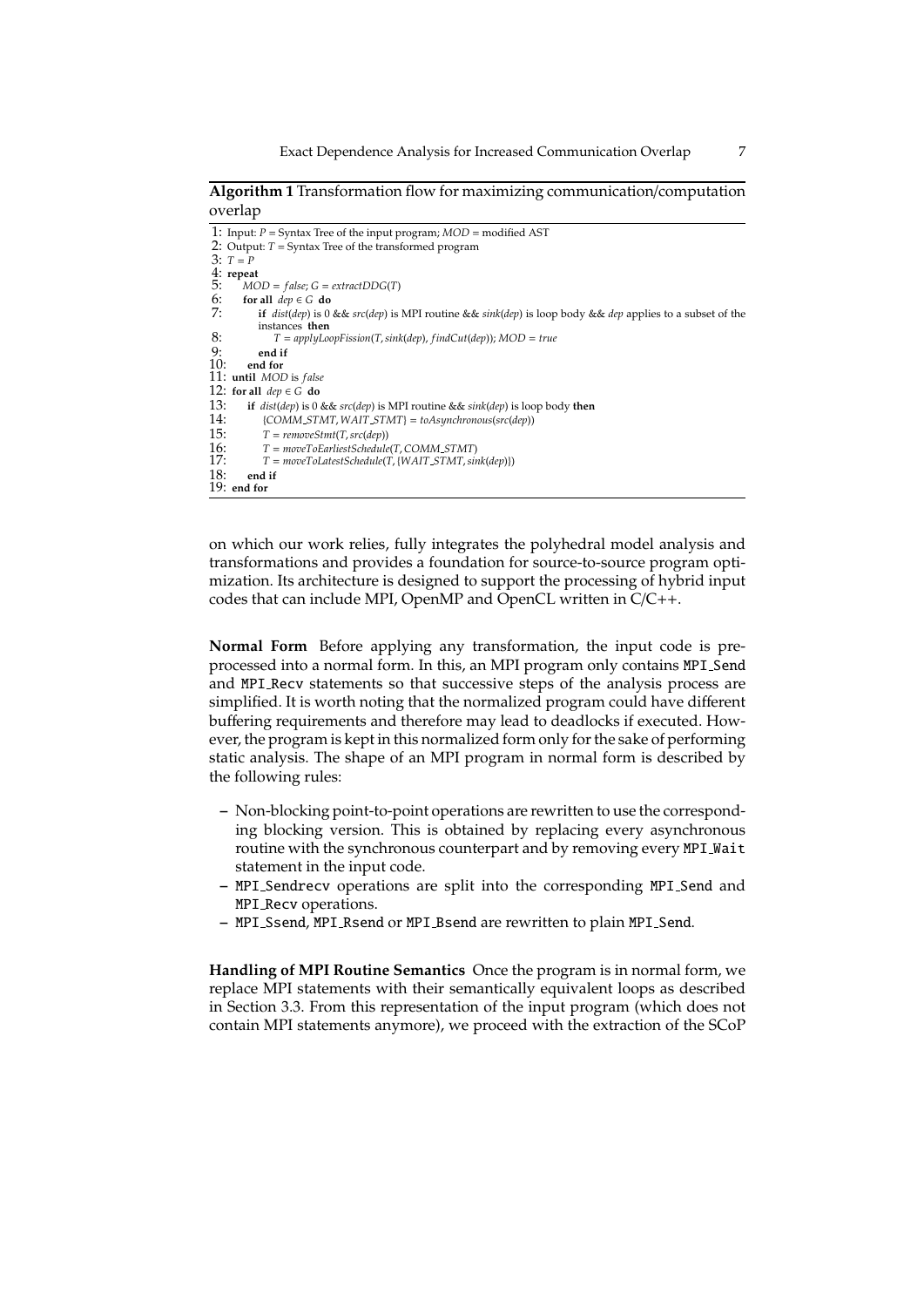**Algorithm 1** Transformation flow for maximizing communication/computation overlap

```
1: Input: P = Syntax Tree of the input program; MOD = modified AST
2: Output: T = Syntax Tree of the transformed program
3: T = P4: repeat
5: MOD = false; G = extractDDG(T)<br>6: for all dep \in G do
6: for all dep \in G do<br>7: if dist(dep) is 0
            7: if dist(dep) is 0 && src(dep) is MPI routine && sink(dep) is loop body && dep applies to a subset of the
            instances then
8: T = applyLoopFission(T,sink(dep), findCut(dep)); MOD = true
9: end if
         end for
11: until MOD is f alse
12: for all dep \in G do<br>13: if dist(den) is 0
13: if dist(dep) is 0 && src(dep) is MPI routine && sink(dep) is loop body then
14: \{COMM \sim \text{STMT}, \text{WAIT} \sim \text{STMT}\} = to Asynchronous(\text{src}(\text{dep}))<br>15: T = removeStmt(T, \text{src}(\text{dep}))15: T = removeStrnt(T, src(dep))<br>16: T = moveToEarliestSchedule16: T = moveToEarliestSchedule(T, COMM.STMT)<br>17: T = moveToLatestSchedule(T, {WAIT.STMT,sir}17: T = moveToLatestSchedule(T, {WAIT STMT,sink(dep)})
         18: end if
19: end for
```
on which our work relies, fully integrates the polyhedral model analysis and transformations and provides a foundation for source-to-source program optimization. Its architecture is designed to support the processing of hybrid input codes that can include MPI, OpenMP and OpenCL written in C/C++.

**Normal Form** Before applying any transformation, the input code is preprocessed into a normal form. In this, an MPI program only contains MPI Send and MPI Recv statements so that successive steps of the analysis process are simplified. It is worth noting that the normalized program could have different buffering requirements and therefore may lead to deadlocks if executed. However, the program is kept in this normalized form only for the sake of performing static analysis. The shape of an MPI program in normal form is described by the following rules:

- **–** Non-blocking point-to-point operations are rewritten to use the corresponding blocking version. This is obtained by replacing every asynchronous routine with the synchronous counterpart and by removing every MPI Wait statement in the input code.
- **–** MPI Sendrecv operations are split into the corresponding MPI Send and MPI\_Recv operations.
- **–** MPI Ssend, MPI Rsend or MPI Bsend are rewritten to plain MPI Send.

**Handling of MPI Routine Semantics** Once the program is in normal form, we replace MPI statements with their semantically equivalent loops as described in Section 3.3. From this representation of the input program (which does not contain MPI statements anymore), we proceed with the extraction of the SCoP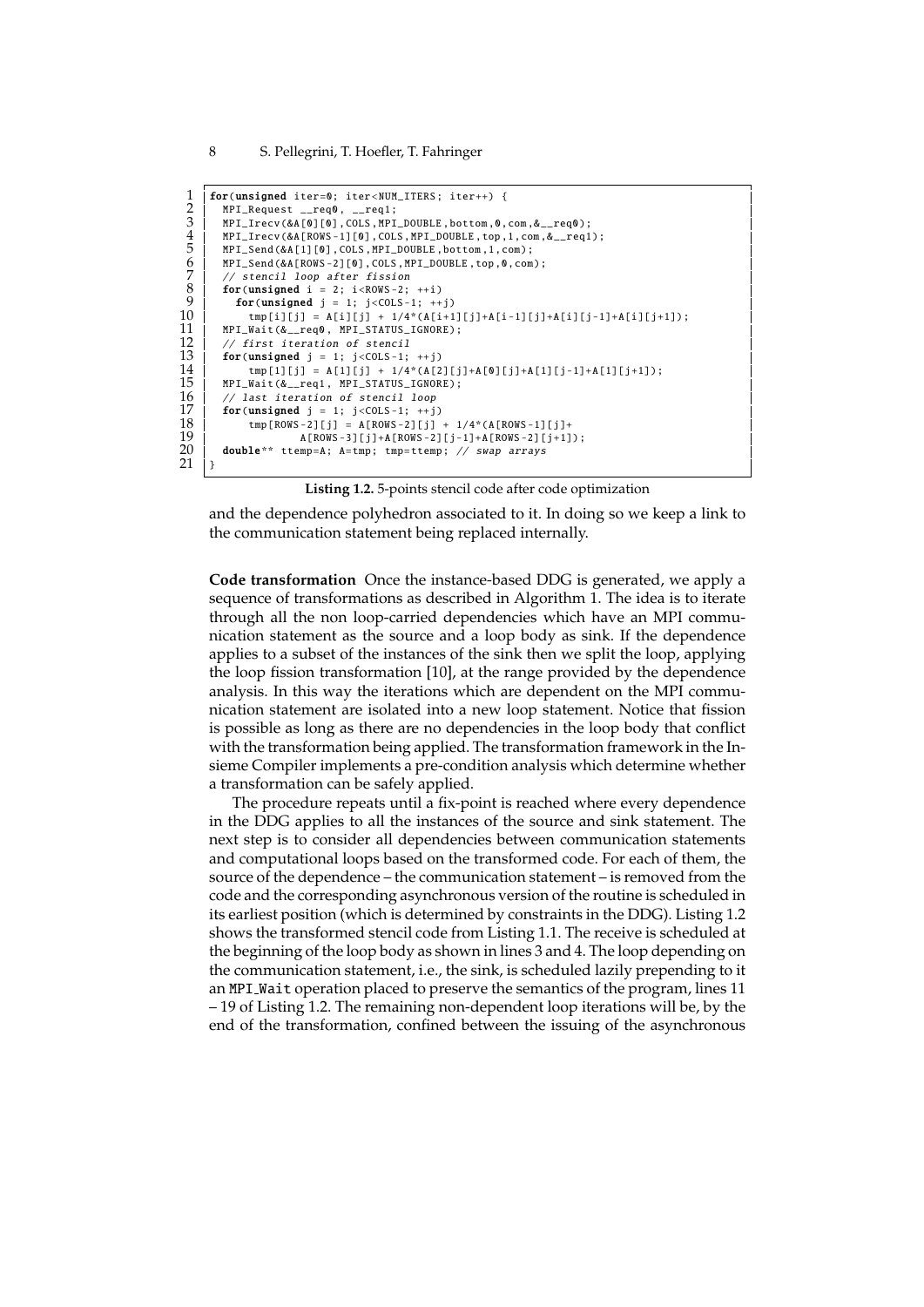```
1 \vert for(unsigned iter=0; iter <NUM_ITERS; iter ++) {<br>2 \vert MPI_Request __req0, __req1;
  2 MPI_Request __req0, __req1;<br>3 MPI_Irecv(&A[0][0],COLS,MPI<br>4 MPI_Irecv(&A[ROWS-1][0],COL
            3 MPI_Irecv (&A[0][0] , COLS ,MPI_DOUBLE ,bottom ,0,com ,& __req0);
  \begin{array}{c|c} 4 & \text{MPI\_Treev (&A[RONS -1][0], COLS, MPI\_DOUBLE, top, 1, com, & _{seq1}); \end{array}<br>
\begin{array}{c} \text{MPI\_Send(&A[1][0], COLS, MPI\_DOUBLE, bottom, 1, com);} \end{array}5 MPI_Send (&A[1][0], COLS, MPI_DOUBLE, bottom, 1, com);<br>6 MPI_Send (&A[ROWS-2][0], COLS, MPI_DOUBLE, top, 0, com<br>7 // stencil loop after fission
            MPI_Send (&A[ROWS-2][0], COLS, MPI_DOUBLE, top, 0, com);
  7 // stencil loop after fission<br>8 for (unsigned i = 2; i < R0WS-2;<br>9 for (unsigned j = 1; i < Q0LS-
  8 \mid for(unsigned i = 2; i<ROWS-2; ++i)
  9 \mid for(unsigned j = 1; j<COLS-1; ++j)
10 \begin{array}{c} \text{tmp}[i][j] = A[i][j] + 1/4*(A[i+1][j]+A[i-1][j]+A[i][j-1]+A[i][j+1]); \\ \text{MPI_Wait(&\_req0, \text{MPI\_SATUS\_IGNORE}); \end{array}11 MPI_Wait (&__req0, MPI_STATUS_IGNORE);<br>12 // first iteration of stencil
12 // first iteration of stencil<br>13 for (unsigned j = 1; j < COLS-1;
13 for(unsigned j = 1; j < CDLS - 1; ++j)<br>14 tmp[1][i] = A[1][i] + 1/4*(A[2])14 \text{tmp}[1][j] = A[1][j] + 1/4*(A[2][j]+A[0][j]+A[1][j-1]+A[1][j+1]);<br>15 \text{MPI\_Wait}(\& \_\text{req1}, \text{MPI\_STATUS\_IGNORE});15 MPI_Wait (\&_req1, MPI_STATUS_IGNORE);<br>16 // last iteration of stencil loop<br>17 for (unsigned j = 1; j<COLS-1; ++j)
             // last iteration of stencil loop
17 | for(unsigned j = 1; j < COLS - 1; ++j)<br>18 | tmp[ROWS-2][j] = A[ROWS-2][j]
18 \mu tmp[ROWS-2][j] = A[ROWS-2][j] + 1/4*(A[ROWS-1][j]+<br>19 AFROWS-31[j]+A[ROWS-2][j-1]+A[ROWS-2][j+1]
19 A[ROWS-3][j]+A[ROWS-2][j-1]+A[ROWS-2][j+1]);<br>20 double** ttemp=A: A=tmp: tmp=ttemp: // swap arrays
        double** ttemp=A; A=tmp; tmp=ttemp; // swap arrays
\overline{21}
```
**Listing 1.2.** 5-points stencil code after code optimization

and the dependence polyhedron associated to it. In doing so we keep a link to the communication statement being replaced internally.

**Code transformation** Once the instance-based DDG is generated, we apply a sequence of transformations as described in Algorithm 1. The idea is to iterate through all the non loop-carried dependencies which have an MPI communication statement as the source and a loop body as sink. If the dependence applies to a subset of the instances of the sink then we split the loop, applying the loop fission transformation [10], at the range provided by the dependence analysis. In this way the iterations which are dependent on the MPI communication statement are isolated into a new loop statement. Notice that fission is possible as long as there are no dependencies in the loop body that conflict with the transformation being applied. The transformation framework in the Insieme Compiler implements a pre-condition analysis which determine whether a transformation can be safely applied.

The procedure repeats until a fix-point is reached where every dependence in the DDG applies to all the instances of the source and sink statement. The next step is to consider all dependencies between communication statements and computational loops based on the transformed code. For each of them, the source of the dependence – the communication statement – is removed from the code and the corresponding asynchronous version of the routine is scheduled in its earliest position (which is determined by constraints in the DDG). Listing 1.2 shows the transformed stencil code from Listing 1.1. The receive is scheduled at the beginning of the loop body as shown in lines 3 and 4. The loop depending on the communication statement, i.e., the sink, is scheduled lazily prepending to it an MPI Wait operation placed to preserve the semantics of the program, lines 11 – 19 of Listing 1.2. The remaining non-dependent loop iterations will be, by the end of the transformation, confined between the issuing of the asynchronous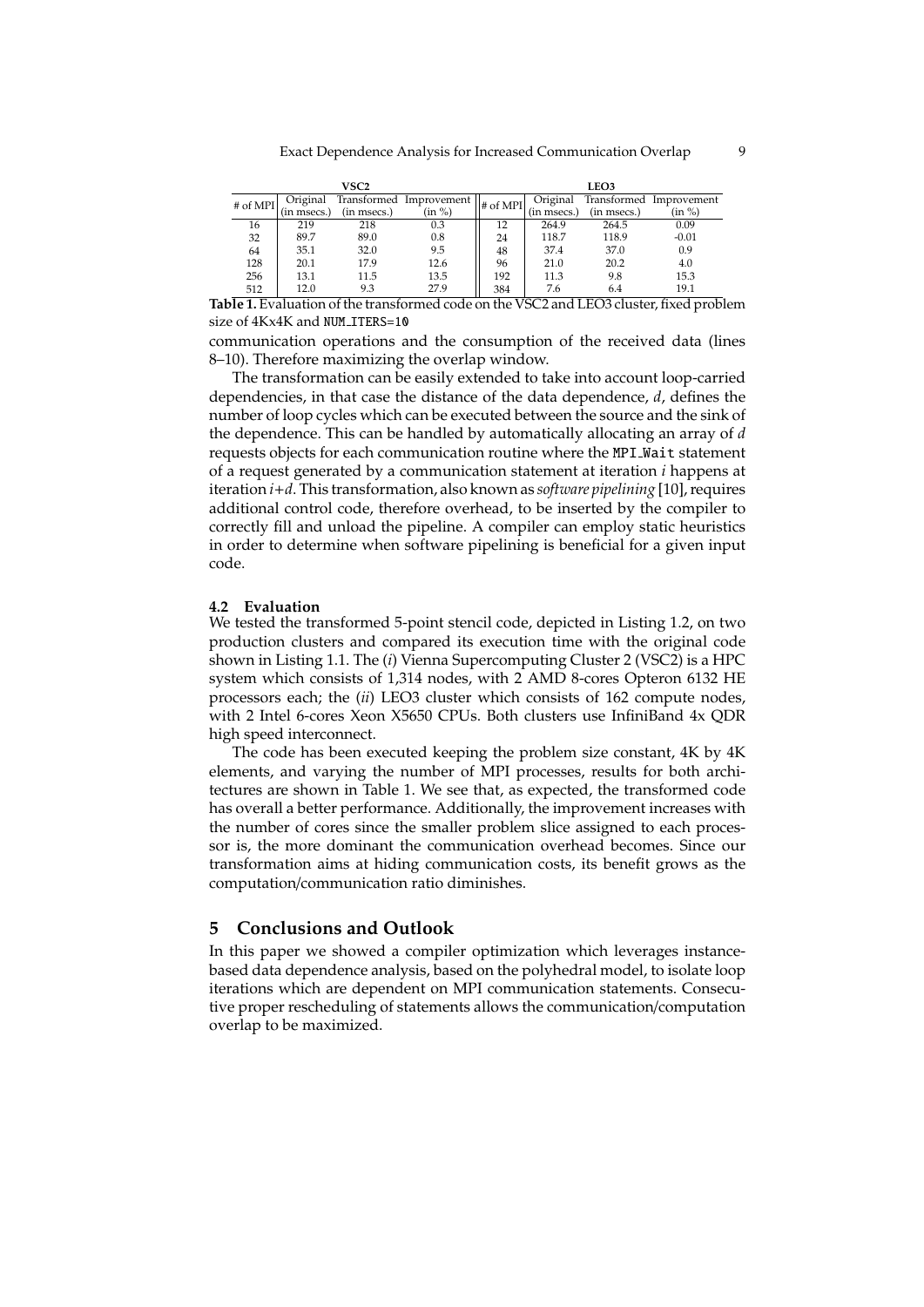| VSC <sub>2</sub> |             |             |                         | LEO3       |             |             |                         |
|------------------|-------------|-------------|-------------------------|------------|-------------|-------------|-------------------------|
| $#$ of MPI       | Original    |             | Transformed Improvement | $#$ of MPI | Original    |             | Transformed Improvement |
|                  | (in msecs.) | (in msecs.) | (in %)                  |            | (in msecs.) | (in msecs.) | (in %)                  |
| 16               | 219         | 218         | 0.3                     | 12         | 264.9       | 264.5       | 0.09                    |
| 32               | 89.7        | 89.0        | 0.8                     | 24         | 118.7       | 118.9       | $-0.01$                 |
| 64               | 35.1        | 32.0        | 9.5                     | 48         | 37.4        | 37.0        | 0.9                     |
| 128              | 20.1        | 17.9        | 12.6                    | 96         | 21.0        | 20.2        | 4.0                     |
| 256              | 13.1        | 11.5        | 13.5                    | 192        | 11.3        | 9.8         | 15.3                    |
| 512              | 12.0        | 9.3         | 27.9                    | 384        | 7.6         | 6.4         | 19.1                    |

**Table 1.** Evaluation of the transformed code on the VSC2 and LEO3 cluster, fixed problem size of  $4Kx4K$  and NUM\_ITERS=10

communication operations and the consumption of the received data (lines 8–10). Therefore maximizing the overlap window.

The transformation can be easily extended to take into account loop-carried dependencies, in that case the distance of the data dependence, *d*, defines the number of loop cycles which can be executed between the source and the sink of the dependence. This can be handled by automatically allocating an array of *d* requests objects for each communication routine where the MPI Wait statement of a request generated by a communication statement at iteration *i* happens at iteration *i*+*d*. This transformation, also known as *software pipelining* [10], requires additional control code, therefore overhead, to be inserted by the compiler to correctly fill and unload the pipeline. A compiler can employ static heuristics in order to determine when software pipelining is beneficial for a given input code.

#### **4.2 Evaluation**

We tested the transformed 5-point stencil code, depicted in Listing 1.2, on two production clusters and compared its execution time with the original code shown in Listing 1.1. The (*i*) Vienna Supercomputing Cluster 2 (VSC2) is a HPC system which consists of 1,314 nodes, with 2 AMD 8-cores Opteron 6132 HE processors each; the (*ii*) LEO3 cluster which consists of 162 compute nodes, with 2 Intel 6-cores Xeon X5650 CPUs. Both clusters use InfiniBand 4x QDR high speed interconnect.

The code has been executed keeping the problem size constant, 4K by 4K elements, and varying the number of MPI processes, results for both architectures are shown in Table 1. We see that, as expected, the transformed code has overall a better performance. Additionally, the improvement increases with the number of cores since the smaller problem slice assigned to each processor is, the more dominant the communication overhead becomes. Since our transformation aims at hiding communication costs, its benefit grows as the computation/communication ratio diminishes.

### **5 Conclusions and Outlook**

In this paper we showed a compiler optimization which leverages instancebased data dependence analysis, based on the polyhedral model, to isolate loop iterations which are dependent on MPI communication statements. Consecutive proper rescheduling of statements allows the communication/computation overlap to be maximized.